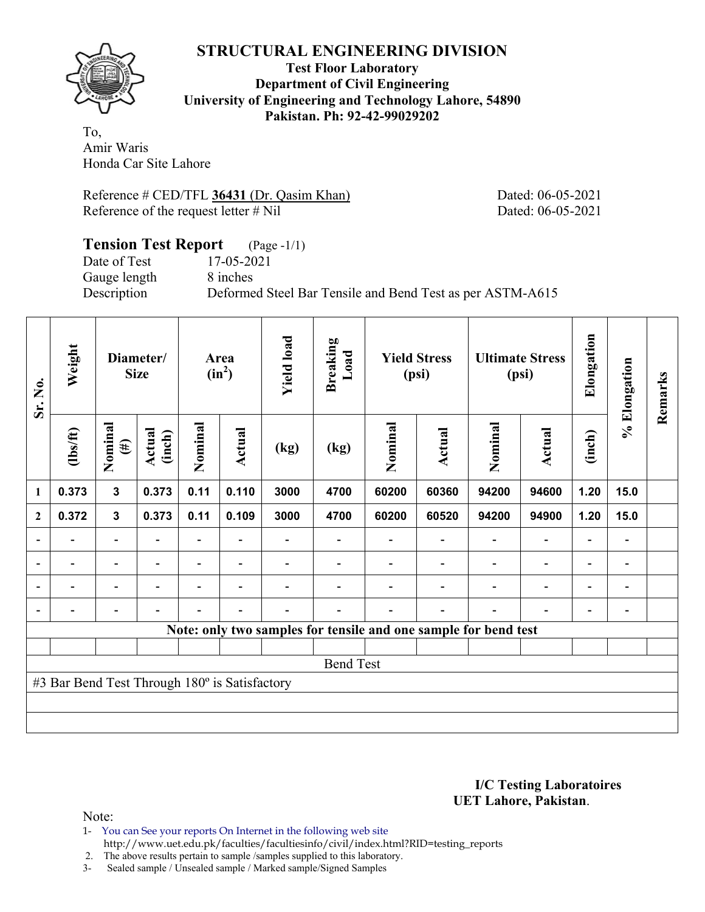

**Test Floor Laboratory Department of Civil Engineering University of Engineering and Technology Lahore, 54890 Pakistan. Ph: 92-42-99029202** 

To, Amir Waris Honda Car Site Lahore

Reference # CED/TFL 36431 (Dr. Qasim Khan) Dated: 06-05-2021 Reference of the request letter # Nil Dated: 06-05-2021

### **Tension Test Report** (Page -1/1) Date of Test 17-05-2021 Gauge length 8 inches Description Deformed Steel Bar Tensile and Bend Test as per ASTM-A615

| Sr. No.                  | Weight                                        | Diameter/<br><b>Size</b>     |                  |         | <b>Yield load</b><br>Area<br>$(in^2)$ |      | <b>Breaking</b><br>Load | <b>Yield Stress</b><br>(psi)                                    |        | <b>Ultimate Stress</b><br>(psi) |                          | Elongation | % Elongation | Remarks |
|--------------------------|-----------------------------------------------|------------------------------|------------------|---------|---------------------------------------|------|-------------------------|-----------------------------------------------------------------|--------|---------------------------------|--------------------------|------------|--------------|---------|
|                          | $\frac{2}{10}$                                | Nominal<br>$(\#)$            | Actual<br>(inch) | Nominal | <b>Actual</b>                         | (kg) | (kg)                    | Nominal                                                         | Actual | Nominal                         | <b>Actual</b>            | (inch)     |              |         |
| 1                        | 0.373                                         | $\mathbf{3}$                 | 0.373            | 0.11    | 0.110                                 | 3000 | 4700                    | 60200                                                           | 60360  | 94200                           | 94600                    | 1.20       | 15.0         |         |
| $\mathbf{2}$             | 0.372                                         | $\mathbf{3}$                 | 0.373            | 0.11    | 0.109                                 | 3000 | 4700                    | 60200                                                           | 60520  | 94200                           | 94900                    | 1.20       | 15.0         |         |
|                          |                                               | -                            |                  |         |                                       |      |                         |                                                                 |        |                                 |                          |            | -            |         |
| $\blacksquare$           |                                               | $\overline{\phantom{a}}$     |                  |         | $\overline{\phantom{a}}$              |      |                         |                                                                 |        |                                 |                          | ۰          | -            |         |
| $\overline{\phantom{0}}$ | -                                             | $\overline{\phantom{0}}$     |                  | -       | $\overline{\phantom{0}}$              |      |                         |                                                                 |        |                                 | $\overline{\phantom{0}}$ |            | -            |         |
|                          | $\overline{a}$                                | $\qquad \qquad \blacksquare$ |                  |         | $\blacksquare$                        |      |                         |                                                                 |        |                                 |                          |            | -            |         |
|                          |                                               |                              |                  |         |                                       |      |                         | Note: only two samples for tensile and one sample for bend test |        |                                 |                          |            |              |         |
|                          |                                               |                              |                  |         |                                       |      |                         |                                                                 |        |                                 |                          |            |              |         |
|                          |                                               |                              |                  |         |                                       |      | <b>Bend Test</b>        |                                                                 |        |                                 |                          |            |              |         |
|                          | #3 Bar Bend Test Through 180° is Satisfactory |                              |                  |         |                                       |      |                         |                                                                 |        |                                 |                          |            |              |         |
|                          |                                               |                              |                  |         |                                       |      |                         |                                                                 |        |                                 |                          |            |              |         |
|                          |                                               |                              |                  |         |                                       |      |                         |                                                                 |        |                                 |                          |            |              |         |

**I/C Testing Laboratoires UET Lahore, Pakistan**.

Note:

1- You can See your reports On Internet in the following web site http://www.uet.edu.pk/faculties/facultiesinfo/civil/index.html?RID=testing\_reports

2. The above results pertain to sample /samples supplied to this laboratory.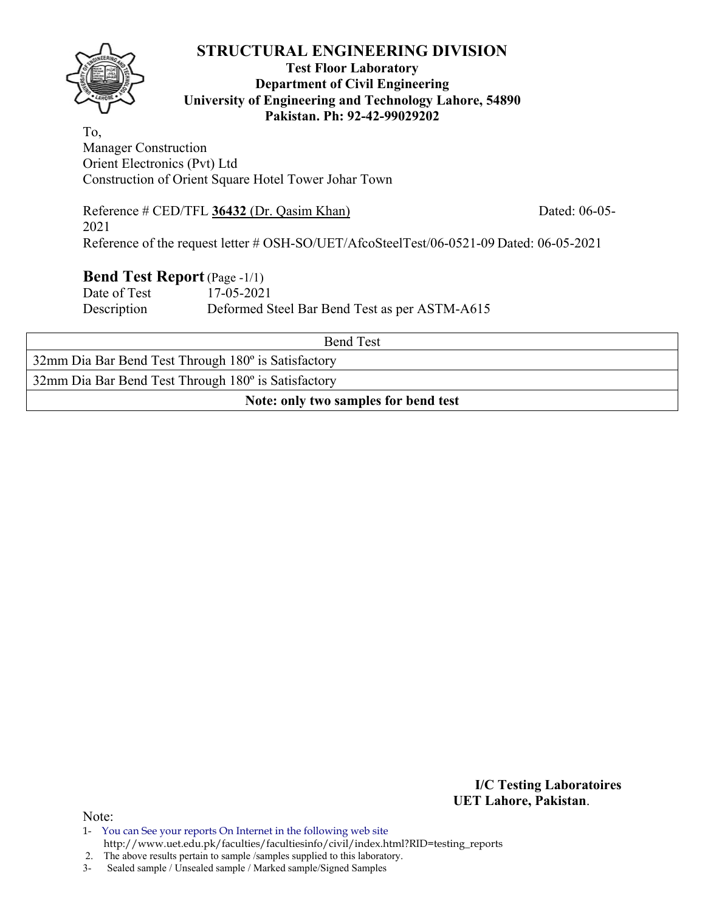

### **Test Floor Laboratory Department of Civil Engineering University of Engineering and Technology Lahore, 54890 Pakistan. Ph: 92-42-99029202**

To, Manager Construction Orient Electronics (Pvt) Ltd Construction of Orient Square Hotel Tower Johar Town

Reference # CED/TFL **36432** (Dr. Qasim Khan) Dated: 06-05- 2021 Reference of the request letter # OSH-SO/UET/AfcoSteelTest/06-0521-09 Dated: 06-05-2021

### **Bend Test Report** (Page -1/1)

Date of Test 17-05-2021 Description Deformed Steel Bar Bend Test as per ASTM-A615

| <b>Bend Test</b>                                    |  |  |  |  |  |  |  |  |  |
|-----------------------------------------------------|--|--|--|--|--|--|--|--|--|
| 32mm Dia Bar Bend Test Through 180° is Satisfactory |  |  |  |  |  |  |  |  |  |
| 32mm Dia Bar Bend Test Through 180° is Satisfactory |  |  |  |  |  |  |  |  |  |
| Note: only two samples for bend test                |  |  |  |  |  |  |  |  |  |

**I/C Testing Laboratoires UET Lahore, Pakistan**.

Note:

2. The above results pertain to sample /samples supplied to this laboratory.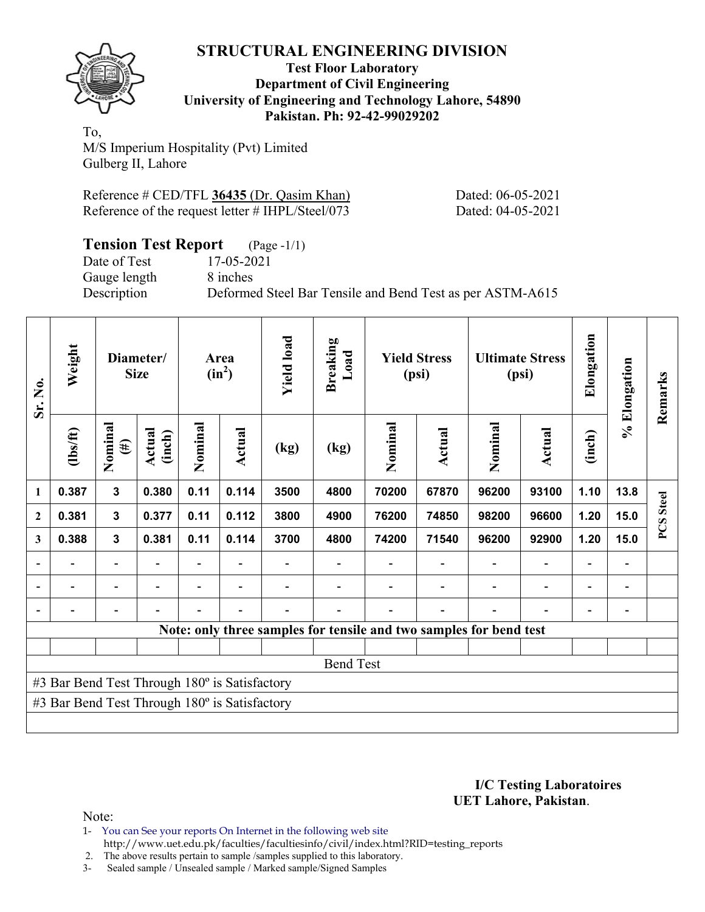

#### **Test Floor Laboratory Department of Civil Engineering University of Engineering and Technology Lahore, 54890 Pakistan. Ph: 92-42-99029202**

To, M/S Imperium Hospitality (Pvt) Limited Gulberg II, Lahore

| Reference # CED/TFL 36435 (Dr. Qasim Khan)       |  |
|--------------------------------------------------|--|
| Reference of the request letter # IHPL/Steel/073 |  |

Dated: 06-05-2021 Dated: 04-05-2021

| <b>Tension Test Report</b> (Page -1/1) |                                                           |
|----------------------------------------|-----------------------------------------------------------|
| Date of Test                           | 17-05-2021                                                |
| Gauge length                           | 8 inches                                                  |
| Description                            | Deformed Steel Bar Tensile and Bend Test as per ASTM-A615 |

| Sr. No.      | Weight                                               |                          | Diameter/<br><b>Size</b> |         | Area<br>$(in^2)$ | <b>Yield load</b> | <b>Breaking</b><br>Load                                            |         | <b>Yield Stress</b><br>(psi) |         | <b>Ultimate Stress</b><br>(psi) |                          | % Elongation                 | Remarks      |
|--------------|------------------------------------------------------|--------------------------|--------------------------|---------|------------------|-------------------|--------------------------------------------------------------------|---------|------------------------------|---------|---------------------------------|--------------------------|------------------------------|--------------|
|              | $\frac{2}{10}$                                       | Nominal<br>$(\#)$        | Actual<br>(inch)         | Nominal | <b>Actual</b>    | (kg)              | (kg)                                                               | Nominal | Actual                       | Nominal | Actual                          | (inch)                   |                              |              |
| $\mathbf{1}$ | 0.387                                                | $\overline{\mathbf{3}}$  | 0.380                    | 0.11    | 0.114            | 3500              | 4800                                                               | 70200   | 67870                        | 96200   | 93100                           | 1.10                     | 13.8                         | <b>Steel</b> |
| $\mathbf{2}$ | 0.381                                                | 3                        | 0.377                    | 0.11    | 0.112            | 3800              | 4900                                                               | 76200   | 74850                        | 98200   | 96600                           | 1.20                     | 15.0                         |              |
| 3            | 0.388                                                | $\mathbf{3}$             | 0.381                    | 0.11    | 0.114            | 3700              | 4800                                                               | 74200   | 71540                        | 96200   | 92900                           | 1.20                     | 15.0                         | PCS          |
|              | $\blacksquare$                                       | $\overline{\phantom{0}}$ |                          | ۰       | ۰                |                   |                                                                    |         |                              |         | $\overline{\phantom{0}}$        | $\overline{\phantom{0}}$ | $\qquad \qquad \blacksquare$ |              |
|              |                                                      | $\overline{\phantom{0}}$ |                          |         |                  |                   |                                                                    |         |                              |         | $\overline{a}$                  |                          | $\qquad \qquad$              |              |
|              |                                                      |                          |                          |         |                  |                   |                                                                    |         |                              |         |                                 |                          |                              |              |
|              |                                                      |                          |                          |         |                  |                   | Note: only three samples for tensile and two samples for bend test |         |                              |         |                                 |                          |                              |              |
|              |                                                      |                          |                          |         |                  |                   |                                                                    |         |                              |         |                                 |                          |                              |              |
|              |                                                      |                          |                          |         |                  |                   | <b>Bend Test</b>                                                   |         |                              |         |                                 |                          |                              |              |
|              | #3 Bar Bend Test Through 180° is Satisfactory        |                          |                          |         |                  |                   |                                                                    |         |                              |         |                                 |                          |                              |              |
|              | #3 Bar Bend Test Through $180^\circ$ is Satisfactory |                          |                          |         |                  |                   |                                                                    |         |                              |         |                                 |                          |                              |              |
|              |                                                      |                          |                          |         |                  |                   |                                                                    |         |                              |         |                                 |                          |                              |              |

**I/C Testing Laboratoires UET Lahore, Pakistan**.

Note:

- 1- You can See your reports On Internet in the following web site http://www.uet.edu.pk/faculties/facultiesinfo/civil/index.html?RID=testing\_reports
- 2. The above results pertain to sample /samples supplied to this laboratory.
- 3- Sealed sample / Unsealed sample / Marked sample/Signed Samples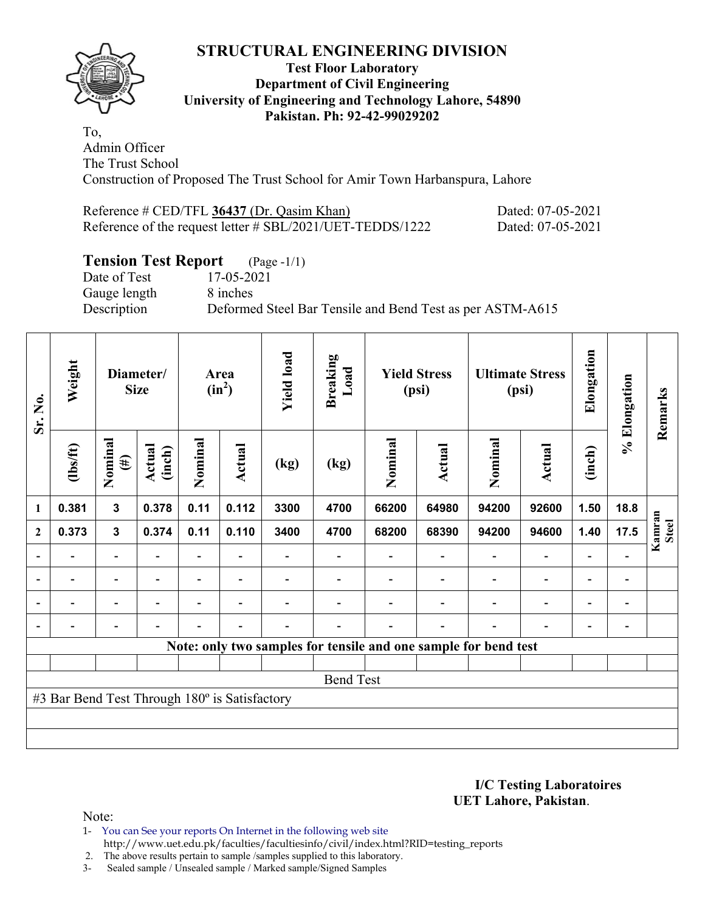

#### **Test Floor Laboratory Department of Civil Engineering University of Engineering and Technology Lahore, 54890 Pakistan. Ph: 92-42-99029202**

To, Admin Officer The Trust School Construction of Proposed The Trust School for Amir Town Harbanspura, Lahore

| Reference # CED/TFL 36437 (Dr. Qasim Khan)                | Dated: 07-05-2021 |
|-----------------------------------------------------------|-------------------|
| Reference of the request letter # SBL/2021/UET-TEDDS/1222 | Dated: 07-05-2021 |

# **Tension Test Report** (Page -1/1)

Gauge length 8 inches

Date of Test 17-05-2021 Description Deformed Steel Bar Tensile and Bend Test as per ASTM-A615

| Sr. No.                  | Weight                                        |                          | Diameter/<br><b>Size</b> | Area<br>$(in^2)$ |                          | <b>Yield load</b> | <b>Breaking</b><br>Load | <b>Yield Stress</b><br>(psi) |                                                                 | <b>Ultimate Stress</b><br>(psi) |                          | Elongation                   | % Elongation   | Remarks                |
|--------------------------|-----------------------------------------------|--------------------------|--------------------------|------------------|--------------------------|-------------------|-------------------------|------------------------------|-----------------------------------------------------------------|---------------------------------|--------------------------|------------------------------|----------------|------------------------|
|                          | $\frac{2}{10}$                                | Nominal<br>$(\#)$        | Actual<br>(inch)         | Nominal          | Actual                   | (kg)              | (kg)                    | Nominal                      | Actual                                                          | Nominal                         | <b>Actual</b>            | (inch)                       |                |                        |
| $\mathbf{1}$             | 0.381                                         | $\mathbf{3}$             | 0.378                    | 0.11             | 0.112                    | 3300              | 4700                    | 66200                        | 64980                                                           | 94200                           | 92600                    | 1.50                         | 18.8           |                        |
| $\overline{2}$           | 0.373                                         | $\mathbf 3$              | 0.374                    | 0.11             | 0.110                    | 3400              | 4700                    | 68200                        | 68390                                                           | 94200                           | 94600                    | 1.40                         | 17.5           | Kamran<br><b>Steel</b> |
| $\overline{\phantom{a}}$ |                                               |                          |                          |                  |                          |                   |                         |                              |                                                                 |                                 |                          |                              |                |                        |
| $\overline{\phantom{a}}$ | $\overline{\phantom{0}}$                      | $\overline{\phantom{a}}$ | $\blacksquare$           | Ξ.               | $\blacksquare$           |                   |                         |                              | $\overline{\phantom{0}}$                                        | $\overline{\phantom{0}}$        | $\overline{\phantom{a}}$ | $\qquad \qquad \blacksquare$ | $\blacksquare$ |                        |
| $\overline{\phantom{a}}$ |                                               | $\overline{\phantom{a}}$ |                          |                  | $\overline{\phantom{0}}$ |                   |                         |                              |                                                                 |                                 | $\overline{\phantom{0}}$ | $\overline{\phantom{a}}$     | $\blacksquare$ |                        |
| $\overline{\phantom{a}}$ |                                               | -                        |                          |                  | $\overline{\phantom{a}}$ |                   |                         |                              | $\overline{\phantom{0}}$                                        |                                 | $\overline{\phantom{0}}$ | $\overline{\phantom{0}}$     | $\overline{a}$ |                        |
|                          |                                               |                          |                          |                  |                          |                   |                         |                              | Note: only two samples for tensile and one sample for bend test |                                 |                          |                              |                |                        |
|                          |                                               |                          |                          |                  |                          |                   |                         |                              |                                                                 |                                 |                          |                              |                |                        |
|                          |                                               |                          |                          |                  |                          |                   | <b>Bend Test</b>        |                              |                                                                 |                                 |                          |                              |                |                        |
|                          | #3 Bar Bend Test Through 180° is Satisfactory |                          |                          |                  |                          |                   |                         |                              |                                                                 |                                 |                          |                              |                |                        |
|                          |                                               |                          |                          |                  |                          |                   |                         |                              |                                                                 |                                 |                          |                              |                |                        |
|                          |                                               |                          |                          |                  |                          |                   |                         |                              |                                                                 |                                 |                          |                              |                |                        |

**I/C Testing Laboratoires UET Lahore, Pakistan**.

Note:

1- You can See your reports On Internet in the following web site http://www.uet.edu.pk/faculties/facultiesinfo/civil/index.html?RID=testing\_reports

2. The above results pertain to sample /samples supplied to this laboratory.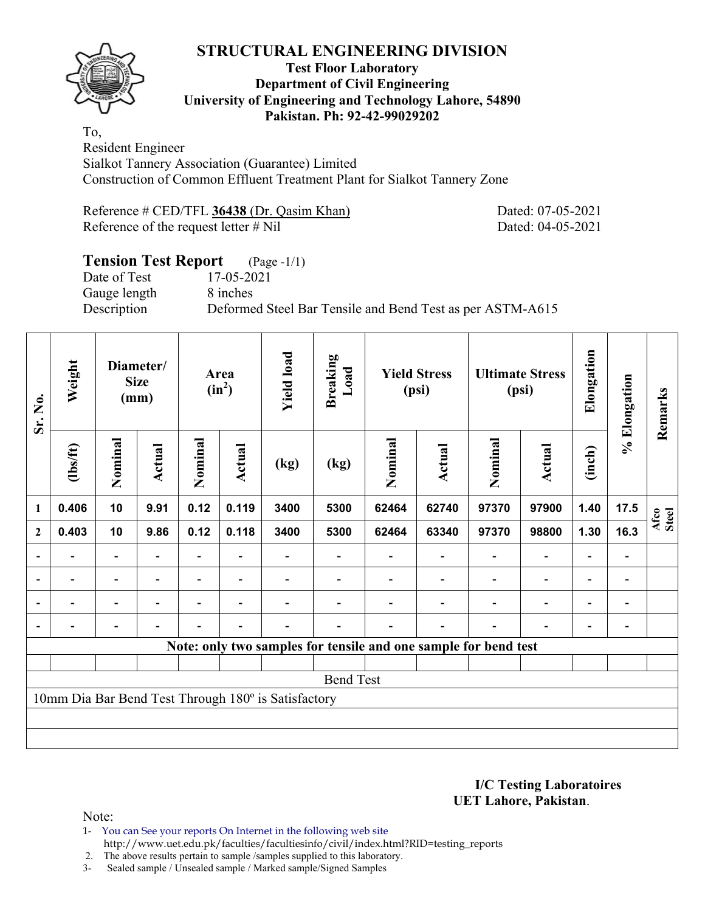

#### **Test Floor Laboratory Department of Civil Engineering University of Engineering and Technology Lahore, 54890 Pakistan. Ph: 92-42-99029202**

To, Resident Engineer Sialkot Tannery Association (Guarantee) Limited Construction of Common Effluent Treatment Plant for Sialkot Tannery Zone

Reference # CED/TFL 36438 (Dr. Qasim Khan) Dated: 07-05-2021 Reference of the request letter # Nil Dated: 04-05-2021

# **Tension Test Report** (Page -1/1) Date of Test 17-05-2021 Gauge length 8 inches Description Deformed Steel Bar Tensile and Bend Test as per ASTM-A615

| Sr. No.          | Weight<br>Diameter/<br><b>Size</b><br>(mm) |                          |        | <b>Yield load</b><br>Area<br>$(in^2)$ |                          | <b>Breaking</b><br>Load                             | <b>Yield Stress</b><br>(psi) |         | <b>Ultimate Stress</b><br>(psi)                                 |                          | Elongation               | % Elongation             | Remarks        |               |
|------------------|--------------------------------------------|--------------------------|--------|---------------------------------------|--------------------------|-----------------------------------------------------|------------------------------|---------|-----------------------------------------------------------------|--------------------------|--------------------------|--------------------------|----------------|---------------|
|                  | (1bs/ft)                                   | Nominal                  | Actual | Nominal                               | Actual                   | (kg)                                                | (kg)                         | Nominal | <b>Actual</b>                                                   | Nominal                  | Actual                   | (inch)                   |                |               |
| 1                | 0.406                                      | 10                       | 9.91   | 0.12                                  | 0.119                    | 3400                                                | 5300                         | 62464   | 62740                                                           | 97370                    | 97900                    | 1.40                     | 17.5           | Afco<br>Steel |
| $\boldsymbol{2}$ | 0.403                                      | 10                       | 9.86   | 0.12                                  | 0.118                    | 3400                                                | 5300                         | 62464   | 63340                                                           | 97370                    | 98800                    | 1.30                     | 16.3           |               |
|                  |                                            |                          |        |                                       |                          |                                                     |                              |         |                                                                 |                          | $\qquad \qquad -$        | $\overline{a}$           |                |               |
|                  | $\overline{\phantom{0}}$                   | $\overline{\phantom{a}}$ |        |                                       |                          |                                                     |                              |         |                                                                 | $\overline{\phantom{0}}$ | $\overline{\phantom{a}}$ | Ξ.                       | -              |               |
|                  | $\overline{\phantom{0}}$                   | $\overline{\phantom{a}}$ |        |                                       | $\blacksquare$           |                                                     |                              |         |                                                                 |                          | $\overline{\phantom{0}}$ | $\overline{\phantom{0}}$ | $\blacksquare$ |               |
|                  | ۰                                          | -                        |        |                                       | $\overline{\phantom{0}}$ |                                                     |                              |         |                                                                 |                          | $\qquad \qquad -$        | $\overline{\phantom{0}}$ | $\overline{a}$ |               |
|                  |                                            |                          |        |                                       |                          |                                                     |                              |         | Note: only two samples for tensile and one sample for bend test |                          |                          |                          |                |               |
|                  |                                            |                          |        |                                       |                          |                                                     |                              |         |                                                                 |                          |                          |                          |                |               |
|                  |                                            |                          |        |                                       |                          |                                                     | <b>Bend Test</b>             |         |                                                                 |                          |                          |                          |                |               |
|                  |                                            |                          |        |                                       |                          | 10mm Dia Bar Bend Test Through 180° is Satisfactory |                              |         |                                                                 |                          |                          |                          |                |               |
|                  |                                            |                          |        |                                       |                          |                                                     |                              |         |                                                                 |                          |                          |                          |                |               |
|                  |                                            |                          |        |                                       |                          |                                                     |                              |         |                                                                 |                          |                          |                          |                |               |

**I/C Testing Laboratoires UET Lahore, Pakistan**.

Note:

1- You can See your reports On Internet in the following web site http://www.uet.edu.pk/faculties/facultiesinfo/civil/index.html?RID=testing\_reports

2. The above results pertain to sample /samples supplied to this laboratory.